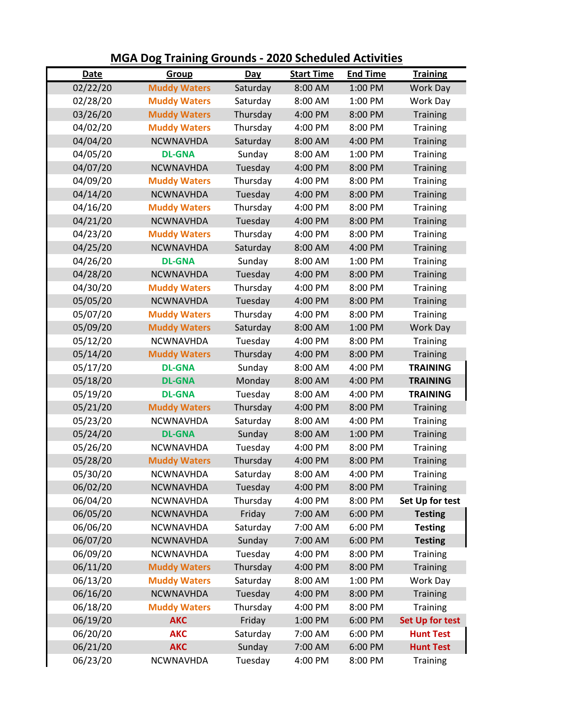|          | <u> MOA DOS Training Grounds - 2020 Scheduled Activities</u> |          |                   |                 |                        |
|----------|--------------------------------------------------------------|----------|-------------------|-----------------|------------------------|
| Date     | Group                                                        | Day      | <b>Start Time</b> | <b>End Time</b> | <b>Training</b>        |
| 02/22/20 | <b>Muddy Waters</b>                                          | Saturday | 8:00 AM           | 1:00 PM         | <b>Work Day</b>        |
| 02/28/20 | <b>Muddy Waters</b>                                          | Saturday | 8:00 AM           | 1:00 PM         | Work Day               |
| 03/26/20 | <b>Muddy Waters</b>                                          | Thursday | 4:00 PM           | 8:00 PM         | <b>Training</b>        |
| 04/02/20 | <b>Muddy Waters</b>                                          | Thursday | 4:00 PM           | 8:00 PM         | <b>Training</b>        |
| 04/04/20 | <b>NCWNAVHDA</b>                                             | Saturday | 8:00 AM           | 4:00 PM         | <b>Training</b>        |
| 04/05/20 | <b>DL-GNA</b>                                                | Sunday   | 8:00 AM           | 1:00 PM         | <b>Training</b>        |
| 04/07/20 | <b>NCWNAVHDA</b>                                             | Tuesday  | 4:00 PM           | 8:00 PM         | Training               |
| 04/09/20 | <b>Muddy Waters</b>                                          | Thursday | 4:00 PM           | 8:00 PM         | <b>Training</b>        |
| 04/14/20 | <b>NCWNAVHDA</b>                                             | Tuesday  | 4:00 PM           | 8:00 PM         | <b>Training</b>        |
| 04/16/20 | <b>Muddy Waters</b>                                          | Thursday | 4:00 PM           | 8:00 PM         | <b>Training</b>        |
| 04/21/20 | <b>NCWNAVHDA</b>                                             | Tuesday  | 4:00 PM           | 8:00 PM         | <b>Training</b>        |
| 04/23/20 | <b>Muddy Waters</b>                                          | Thursday | 4:00 PM           | 8:00 PM         | Training               |
| 04/25/20 | <b>NCWNAVHDA</b>                                             | Saturday | 8:00 AM           | 4:00 PM         | <b>Training</b>        |
| 04/26/20 | <b>DL-GNA</b>                                                | Sunday   | 8:00 AM           | 1:00 PM         | <b>Training</b>        |
| 04/28/20 | <b>NCWNAVHDA</b>                                             | Tuesday  | 4:00 PM           | 8:00 PM         | Training               |
| 04/30/20 | <b>Muddy Waters</b>                                          | Thursday | 4:00 PM           | 8:00 PM         | Training               |
| 05/05/20 | <b>NCWNAVHDA</b>                                             | Tuesday  | 4:00 PM           | 8:00 PM         | <b>Training</b>        |
| 05/07/20 | <b>Muddy Waters</b>                                          | Thursday | 4:00 PM           | 8:00 PM         | Training               |
| 05/09/20 | <b>Muddy Waters</b>                                          | Saturday | 8:00 AM           | 1:00 PM         | <b>Work Day</b>        |
| 05/12/20 | <b>NCWNAVHDA</b>                                             | Tuesday  | 4:00 PM           | 8:00 PM         | Training               |
| 05/14/20 | <b>Muddy Waters</b>                                          | Thursday | 4:00 PM           | 8:00 PM         | <b>Training</b>        |
| 05/17/20 | <b>DL-GNA</b>                                                | Sunday   | 8:00 AM           | 4:00 PM         | <b>TRAINING</b>        |
| 05/18/20 | <b>DL-GNA</b>                                                | Monday   | 8:00 AM           | 4:00 PM         | <b>TRAINING</b>        |
| 05/19/20 | <b>DL-GNA</b>                                                | Tuesday  | 8:00 AM           | 4:00 PM         | <b>TRAINING</b>        |
| 05/21/20 | <b>Muddy Waters</b>                                          | Thursday | 4:00 PM           | 8:00 PM         | <b>Training</b>        |
| 05/23/20 | <b>NCWNAVHDA</b>                                             | Saturday | 8:00 AM           | 4:00 PM         | Training               |
| 05/24/20 | <b>DL-GNA</b>                                                | Sunday   | 8:00 AM           | 1:00 PM         | <b>Training</b>        |
| 05/26/20 | <b>NCWNAVHDA</b>                                             | Tuesday  | 4:00 PM           | 8:00 PM         | Training               |
| 05/28/20 | <b>Muddy Waters</b>                                          | Thursday | 4:00 PM           | 8:00 PM         | <b>Training</b>        |
| 05/30/20 | NCWNAVHDA                                                    | Saturday | $8:00 \text{ AM}$ | 4:00 PM         | Training               |
| 06/02/20 | NCWNAVHDA                                                    | Tuesday  | 4:00 PM           | 8:00 PM         | Training               |
| 06/04/20 | <b>NCWNAVHDA</b>                                             | Thursday | 4:00 PM           | 8:00 PM         | Set Up for test        |
| 06/05/20 | <b>NCWNAVHDA</b>                                             | Friday   | 7:00 AM           | 6:00 PM         | <b>Testing</b>         |
| 06/06/20 | <b>NCWNAVHDA</b>                                             | Saturday | 7:00 AM           | 6:00 PM         | <b>Testing</b>         |
| 06/07/20 | NCWNAVHDA                                                    | Sunday   | 7:00 AM           | 6:00 PM         | <b>Testing</b>         |
| 06/09/20 | <b>NCWNAVHDA</b>                                             | Tuesday  | 4:00 PM           | 8:00 PM         | <b>Training</b>        |
| 06/11/20 | <b>Muddy Waters</b>                                          | Thursday | 4:00 PM           | 8:00 PM         | <b>Training</b>        |
| 06/13/20 | <b>Muddy Waters</b>                                          | Saturday | 8:00 AM           | 1:00 PM         | Work Day               |
| 06/16/20 | NCWNAVHDA                                                    | Tuesday  | 4:00 PM           | 8:00 PM         | <b>Training</b>        |
| 06/18/20 | <b>Muddy Waters</b>                                          | Thursday | 4:00 PM           | 8:00 PM         | Training               |
| 06/19/20 | <b>AKC</b>                                                   | Friday   | 1:00 PM           | 6:00 PM         | <b>Set Up for test</b> |
| 06/20/20 | <b>AKC</b>                                                   | Saturday | 7:00 AM           | 6:00 PM         | <b>Hunt Test</b>       |
| 06/21/20 | <b>AKC</b>                                                   | Sunday   | 7:00 AM           | 6:00 PM         | <b>Hunt Test</b>       |
| 06/23/20 | NCWNAVHDA                                                    | Tuesday  | 4:00 PM           | 8:00 PM         | Training               |
|          |                                                              |          |                   |                 |                        |

**MGA Dog Training Grounds - 2020 Scheduled Activities**